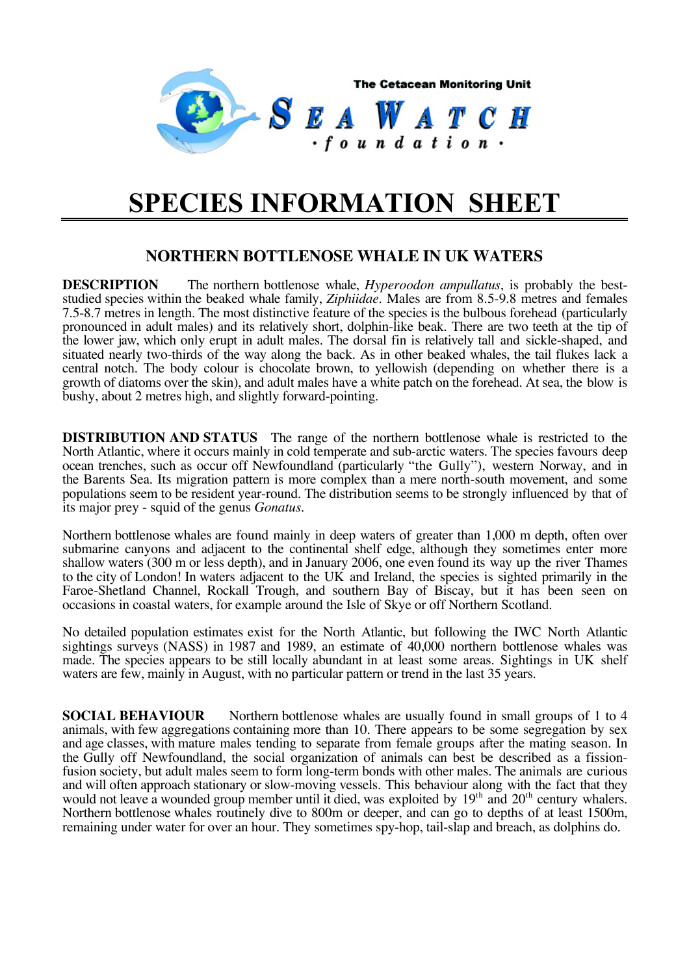

## **SPECIES INFORMATION SHEET**

## **NORTHERN BOTTLENOSE WHALE IN UK WATERS**

**DESCRIPTION** The northern bottlenose whale, *Hyperoodon ampullatus*, is probably the beststudied species within the beaked whale family, *Ziphiidae*. Males are from 8.5-9.8 metres and females 7.5-8.7 metres in length. The most distinctive feature of the species is the bulbous forehead (particularly pronounced in adult males) and its relatively short, dolphin-like beak. There are two teeth at the tip of the lower jaw, which only erupt in adult males. The dorsal fin is relatively tall and sickle-shaped, and situated nearly two-thirds of the way along the back. As in other beaked whales, the tail flukes lack a central notch. The body colour is chocolate brown, to yellowish (depending on whether there is a growth of diatoms over the skin), and adult males have a white patch on the forehead. At sea, the blow is bushy, about 2 metres high, and slightly forward-pointing.

**DISTRIBUTION AND STATUS** The range of the northern bottlenose whale is restricted to the North Atlantic, where it occurs mainly in cold temperate and sub-arctic waters. The species favours deep ocean trenches, such as occur off Newfoundland (particularly "the Gully"), western Norway, and in the Barents Sea. Its migration pattern is more complex than a mere north-south movement, and some populations seem to be resident year-round. The distribution seems to be strongly influenced by that of its major prey - squid of the genus *Gonatus*.

Northern bottlenose whales are found mainly in deep waters of greater than 1,000 m depth, often over submarine canyons and adjacent to the continental shelf edge, although they sometimes enter more shallow waters (300 m or less depth), and in January 2006, one even found its way up the river Thames to the city of London! In waters adjacent to the UK and Ireland, the species is sighted primarily in the Faroe-Shetland Channel, Rockall Trough, and southern Bay of Biscay, but it has been seen on occasions in coastal waters, for example around the Isle of Skye or off Northern Scotland.

No detailed population estimates exist for the North Atlantic, but following the IWC North Atlantic sightings surveys (NASS) in 1987 and 1989, an estimate of 40,000 northern bottlenose whales was made. The species appears to be still locally abundant in at least some areas. Sightings in UK shelf waters are few, mainly in August, with no particular pattern or trend in the last 35 years.

**SOCIAL BEHAVIOUR** Northern bottlenose whales are usually found in small groups of 1 to 4 animals, with few aggregations containing more than 10. There appears to be some segregation by sex and age classes, with mature males tending to separate from female groups after the mating season. In the Gully off Newfoundland, the social organization of animals can best be described as a fissionfusion society, but adult males seem to form long-term bonds with other males. The animals are curious and will often approach stationary or slow-moving vessels. This behaviour along with the fact that they would not leave a wounded group member until it died, was exploited by 19<sup>th</sup> and 20<sup>th</sup> century whalers. Northern bottlenose whales routinely dive to 800m or deeper, and can go to depths of at least 1500m, remaining under water for over an hour. They sometimes spy-hop, tail-slap and breach, as dolphins do.